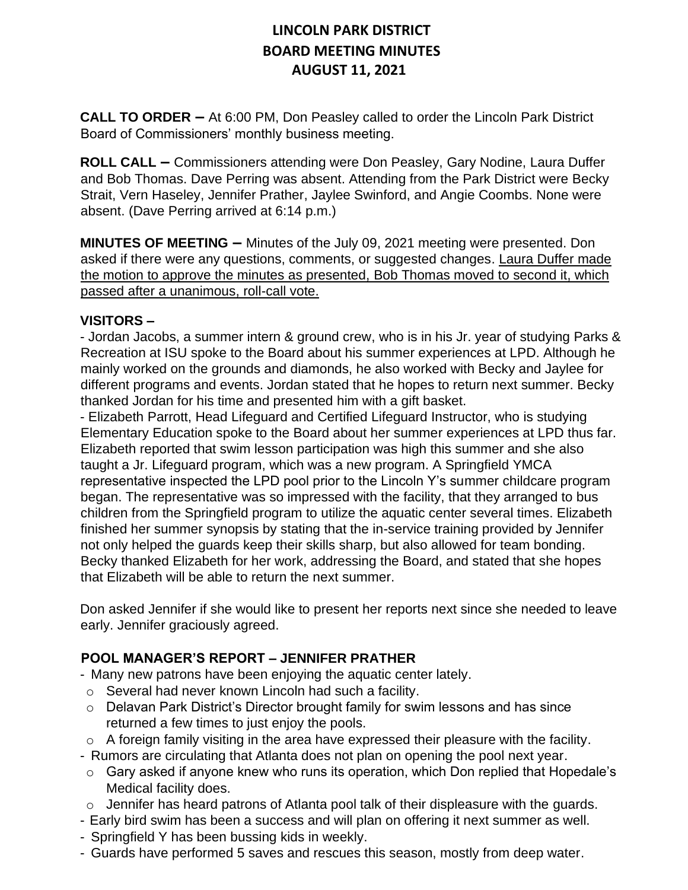**CALL TO ORDER –** At 6:00 PM, Don Peasley called to order the Lincoln Park District Board of Commissioners' monthly business meeting.

**ROLL CALL –** Commissioners attending were Don Peasley, Gary Nodine, Laura Duffer and Bob Thomas. Dave Perring was absent. Attending from the Park District were Becky Strait, Vern Haseley, Jennifer Prather, Jaylee Swinford, and Angie Coombs. None were absent. (Dave Perring arrived at 6:14 p.m.)

**MINUTES OF MEETING –** Minutes of the July 09, 2021 meeting were presented. Don asked if there were any questions, comments, or suggested changes. Laura Duffer made the motion to approve the minutes as presented, Bob Thomas moved to second it, which passed after a unanimous, roll-call vote.

#### **VISITORS –**

- Jordan Jacobs, a summer intern & ground crew, who is in his Jr. year of studying Parks & Recreation at ISU spoke to the Board about his summer experiences at LPD. Although he mainly worked on the grounds and diamonds, he also worked with Becky and Jaylee for different programs and events. Jordan stated that he hopes to return next summer. Becky thanked Jordan for his time and presented him with a gift basket.

- Elizabeth Parrott, Head Lifeguard and Certified Lifeguard Instructor, who is studying Elementary Education spoke to the Board about her summer experiences at LPD thus far. Elizabeth reported that swim lesson participation was high this summer and she also taught a Jr. Lifeguard program, which was a new program. A Springfield YMCA representative inspected the LPD pool prior to the Lincoln Y's summer childcare program began. The representative was so impressed with the facility, that they arranged to bus children from the Springfield program to utilize the aquatic center several times. Elizabeth finished her summer synopsis by stating that the in-service training provided by Jennifer not only helped the guards keep their skills sharp, but also allowed for team bonding. Becky thanked Elizabeth for her work, addressing the Board, and stated that she hopes that Elizabeth will be able to return the next summer.

Don asked Jennifer if she would like to present her reports next since she needed to leave early. Jennifer graciously agreed.

#### **POOL MANAGER'S REPORT – JENNIFER PRATHER**

- Many new patrons have been enjoying the aquatic center lately.
- o Several had never known Lincoln had such a facility.
- o Delavan Park District's Director brought family for swim lessons and has since returned a few times to just enjoy the pools.
- $\circ$  A foreign family visiting in the area have expressed their pleasure with the facility.
- Rumors are circulating that Atlanta does not plan on opening the pool next year.
- o Gary asked if anyone knew who runs its operation, which Don replied that Hopedale's Medical facility does.
- o Jennifer has heard patrons of Atlanta pool talk of their displeasure with the guards.
- Early bird swim has been a success and will plan on offering it next summer as well.
- Springfield Y has been bussing kids in weekly.
- Guards have performed 5 saves and rescues this season, mostly from deep water.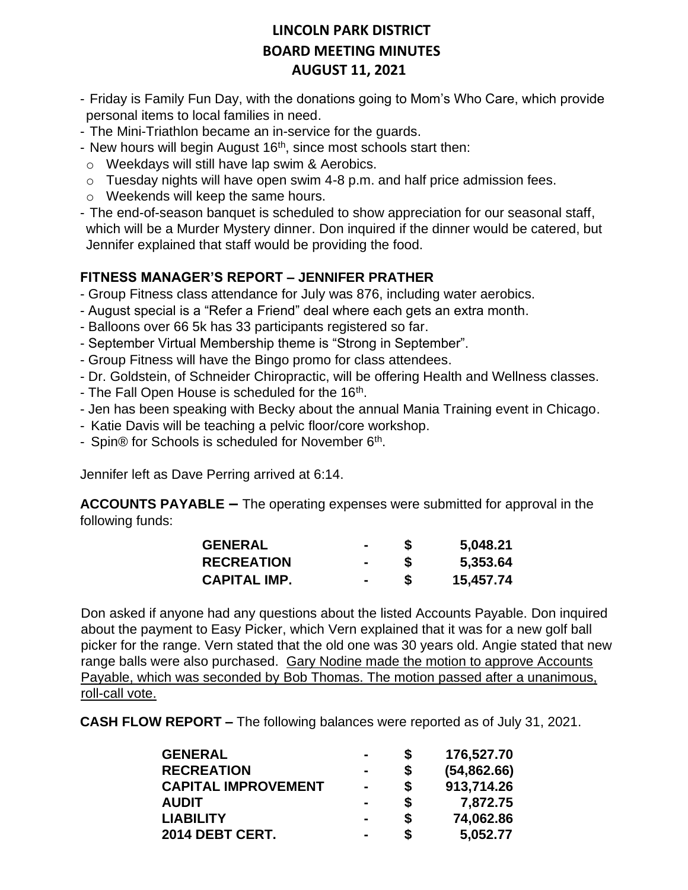- Friday is Family Fun Day, with the donations going to Mom's Who Care, which provide personal items to local families in need.
- The Mini-Triathlon became an in-service for the guards.
- New hours will begin August  $16<sup>th</sup>$ , since most schools start then:
- o Weekdays will still have lap swim & Aerobics.
- $\circ$  Tuesday nights will have open swim 4-8 p.m. and half price admission fees.
- o Weekends will keep the same hours.
- The end-of-season banquet is scheduled to show appreciation for our seasonal staff, which will be a Murder Mystery dinner. Don inquired if the dinner would be catered, but Jennifer explained that staff would be providing the food.

#### **FITNESS MANAGER'S REPORT – JENNIFER PRATHER**

- Group Fitness class attendance for July was 876, including water aerobics.
- August special is a "Refer a Friend" deal where each gets an extra month.
- Balloons over 66 5k has 33 participants registered so far.
- September Virtual Membership theme is "Strong in September".
- Group Fitness will have the Bingo promo for class attendees.
- Dr. Goldstein, of Schneider Chiropractic, will be offering Health and Wellness classes.
- The Fall Open House is scheduled for the 16<sup>th</sup>.
- Jen has been speaking with Becky about the annual Mania Training event in Chicago.
- Katie Davis will be teaching a pelvic floor/core workshop.
- Spin® for Schools is scheduled for November 6<sup>th</sup>.

Jennifer left as Dave Perring arrived at 6:14.

**ACCOUNTS PAYABLE –** The operating expenses were submitted for approval in the following funds:

| <b>GENERAL</b>      | $\blacksquare$ | S | 5,048.21  |
|---------------------|----------------|---|-----------|
| <b>RECREATION</b>   | н.             | S | 5,353.64  |
| <b>CAPITAL IMP.</b> | $\blacksquare$ | S | 15,457.74 |

Don asked if anyone had any questions about the listed Accounts Payable. Don inquired about the payment to Easy Picker, which Vern explained that it was for a new golf ball picker for the range. Vern stated that the old one was 30 years old. Angie stated that new range balls were also purchased. Gary Nodine made the motion to approve Accounts Payable, which was seconded by Bob Thomas. The motion passed after a unanimous, roll-call vote.

**CASH FLOW REPORT –** The following balances were reported as of July 31, 2021.

| <b>GENERAL</b>             | $\blacksquare$ | S  | 176,527.70   |
|----------------------------|----------------|----|--------------|
| <b>RECREATION</b>          | -              | S  | (54, 862.66) |
| <b>CAPITAL IMPROVEMENT</b> | $\blacksquare$ | \$ | 913,714.26   |
| <b>AUDIT</b>               | $\blacksquare$ | \$ | 7,872.75     |
| <b>LIABILITY</b>           |                | \$ | 74,062.86    |
| 2014 DEBT CERT.            | -              | \$ | 5,052.77     |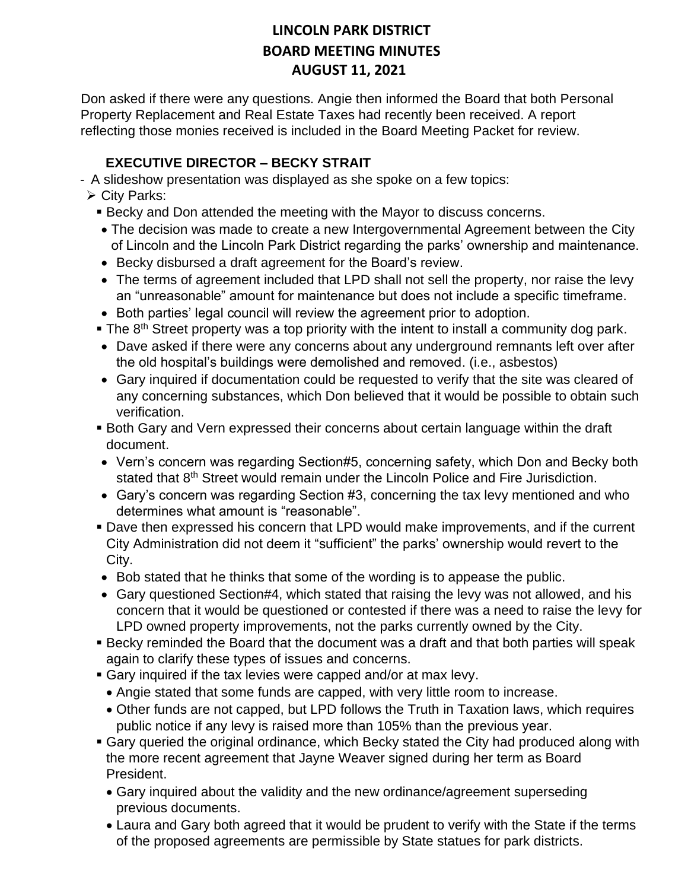Don asked if there were any questions. Angie then informed the Board that both Personal Property Replacement and Real Estate Taxes had recently been received. A report reflecting those monies received is included in the Board Meeting Packet for review.

### **EXECUTIVE DIRECTOR – BECKY STRAIT**

- A slideshow presentation was displayed as she spoke on a few topics:

- ➢ City Parks:
	- **EXECT BECKY and Don attended the meeting with the Mayor to discuss concerns.**
	- The decision was made to create a new Intergovernmental Agreement between the City of Lincoln and the Lincoln Park District regarding the parks' ownership and maintenance.
	- Becky disbursed a draft agreement for the Board's review.
	- The terms of agreement included that LPD shall not sell the property, nor raise the levy an "unreasonable" amount for maintenance but does not include a specific timeframe.
	- Both parties' legal council will review the agreement prior to adoption.
	- The 8<sup>th</sup> Street property was a top priority with the intent to install a community dog park.
	- Dave asked if there were any concerns about any underground remnants left over after the old hospital's buildings were demolished and removed. (i.e., asbestos)
	- Gary inquired if documentation could be requested to verify that the site was cleared of any concerning substances, which Don believed that it would be possible to obtain such verification.
	- **Both Gary and Vern expressed their concerns about certain language within the draft** document.
	- Vern's concern was regarding Section#5, concerning safety, which Don and Becky both stated that 8<sup>th</sup> Street would remain under the Lincoln Police and Fire Jurisdiction.
	- Gary's concern was regarding Section #3, concerning the tax levy mentioned and who determines what amount is "reasonable".
	- **Dave then expressed his concern that LPD would make improvements, and if the current** City Administration did not deem it "sufficient" the parks' ownership would revert to the City.
	- Bob stated that he thinks that some of the wording is to appease the public.
	- Gary questioned Section#4, which stated that raising the levy was not allowed, and his concern that it would be questioned or contested if there was a need to raise the levy for LPD owned property improvements, not the parks currently owned by the City.
	- **E** Becky reminded the Board that the document was a draft and that both parties will speak again to clarify these types of issues and concerns.
	- **Gary inquired if the tax levies were capped and/or at max levy.**
	- Angie stated that some funds are capped, with very little room to increase.
	- Other funds are not capped, but LPD follows the Truth in Taxation laws, which requires public notice if any levy is raised more than 105% than the previous year.
	- Gary queried the original ordinance, which Becky stated the City had produced along with the more recent agreement that Jayne Weaver signed during her term as Board President.
		- Gary inquired about the validity and the new ordinance/agreement superseding previous documents.
		- Laura and Gary both agreed that it would be prudent to verify with the State if the terms of the proposed agreements are permissible by State statues for park districts.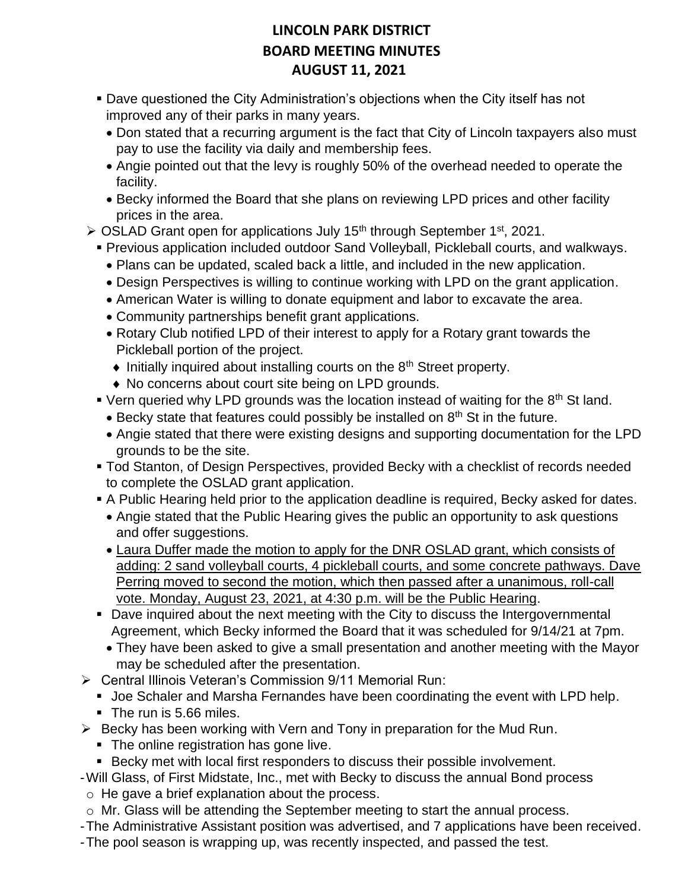- Dave questioned the City Administration's objections when the City itself has not improved any of their parks in many years.
	- Don stated that a recurring argument is the fact that City of Lincoln taxpayers also must pay to use the facility via daily and membership fees.
	- Angie pointed out that the levy is roughly 50% of the overhead needed to operate the facility.
	- Becky informed the Board that she plans on reviewing LPD prices and other facility prices in the area.
- $\geq$  OSLAD Grant open for applications July 15<sup>th</sup> through September 1<sup>st</sup>, 2021.
	- Previous application included outdoor Sand Volleyball, Pickleball courts, and walkways.
		- Plans can be updated, scaled back a little, and included in the new application.
		- Design Perspectives is willing to continue working with LPD on the grant application.
		- American Water is willing to donate equipment and labor to excavate the area.
		- Community partnerships benefit grant applications.
		- Rotary Club notified LPD of their interest to apply for a Rotary grant towards the Pickleball portion of the project.
		- $\bullet$  Initially inquired about installing courts on the 8<sup>th</sup> Street property.
		- ◆ No concerns about court site being on LPD grounds.
	- **Vern queried why LPD grounds was the location instead of waiting for the 8th St land.** 
		- Becky state that features could possibly be installed on  $8<sup>th</sup>$  St in the future.
		- Angie stated that there were existing designs and supporting documentation for the LPD grounds to be the site.
	- **Tod Stanton, of Design Perspectives, provided Becky with a checklist of records needed** to complete the OSLAD grant application.
	- A Public Hearing held prior to the application deadline is required, Becky asked for dates.
		- Angie stated that the Public Hearing gives the public an opportunity to ask questions and offer suggestions.
		- Laura Duffer made the motion to apply for the DNR OSLAD grant, which consists of adding: 2 sand volleyball courts, 4 pickleball courts, and some concrete pathways. Dave Perring moved to second the motion, which then passed after a unanimous, roll-call vote. Monday, August 23, 2021, at 4:30 p.m. will be the Public Hearing.
	- Dave inquired about the next meeting with the City to discuss the Intergovernmental Agreement, which Becky informed the Board that it was scheduled for 9/14/21 at 7pm.
		- They have been asked to give a small presentation and another meeting with the Mayor may be scheduled after the presentation.
- ➢ Central Illinois Veteran's Commission 9/11 Memorial Run:
	- Joe Schaler and Marsha Fernandes have been coordinating the event with LPD help.
	- The run is 5.66 miles.
- $\triangleright$  Becky has been working with Vern and Tony in preparation for the Mud Run.
	- The online registration has gone live.
	- Becky met with local first responders to discuss their possible involvement.
- -Will Glass, of First Midstate, Inc., met with Becky to discuss the annual Bond process o He gave a brief explanation about the process.
- o Mr. Glass will be attending the September meeting to start the annual process.
- -The Administrative Assistant position was advertised, and 7 applications have been received.
- -The pool season is wrapping up, was recently inspected, and passed the test.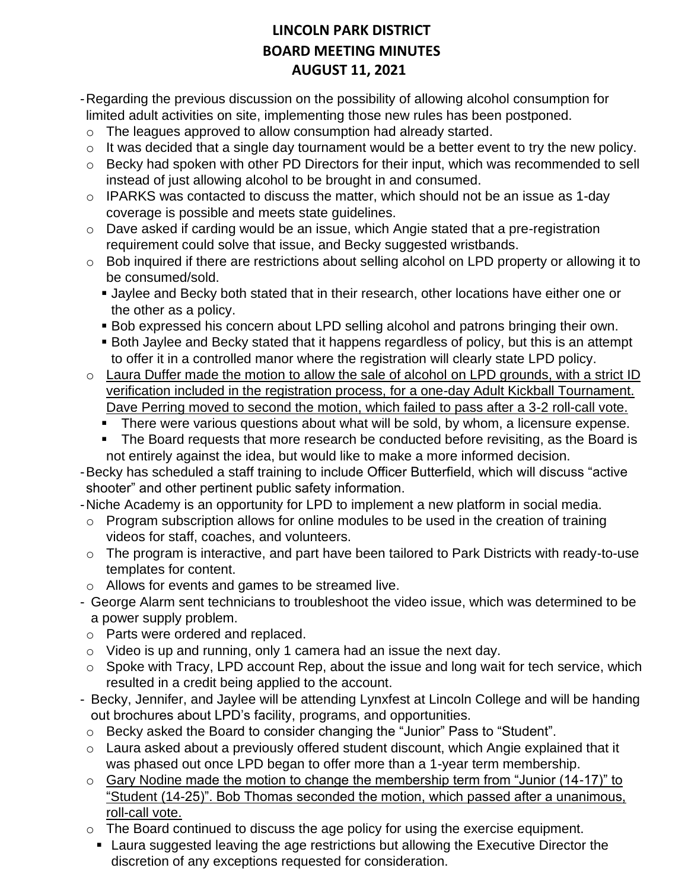- -Regarding the previous discussion on the possibility of allowing alcohol consumption for limited adult activities on site, implementing those new rules has been postponed.
- o The leagues approved to allow consumption had already started.
- $\circ$  It was decided that a single day tournament would be a better event to try the new policy.
- o Becky had spoken with other PD Directors for their input, which was recommended to sell instead of just allowing alcohol to be brought in and consumed.
- o IPARKS was contacted to discuss the matter, which should not be an issue as 1-day coverage is possible and meets state guidelines.
- o Dave asked if carding would be an issue, which Angie stated that a pre-registration requirement could solve that issue, and Becky suggested wristbands.
- o Bob inquired if there are restrictions about selling alcohol on LPD property or allowing it to be consumed/sold.
	- **.** Jaylee and Becky both stated that in their research, other locations have either one or the other as a policy.
	- **Bob expressed his concern about LPD selling alcohol and patrons bringing their own.**
	- Both Jaylee and Becky stated that it happens regardless of policy, but this is an attempt to offer it in a controlled manor where the registration will clearly state LPD policy.
- o Laura Duffer made the motion to allow the sale of alcohol on LPD grounds, with a strict ID verification included in the registration process, for a one-day Adult Kickball Tournament. Dave Perring moved to second the motion, which failed to pass after a 3-2 roll-call vote.
	- **EXT** There were various questions about what will be sold, by whom, a licensure expense.
	- The Board requests that more research be conducted before revisiting, as the Board is not entirely against the idea, but would like to make a more informed decision.
- -Becky has scheduled a staff training to include Officer Butterfield, which will discuss "active shooter" and other pertinent public safety information.
- -Niche Academy is an opportunity for LPD to implement a new platform in social media.
- o Program subscription allows for online modules to be used in the creation of training videos for staff, coaches, and volunteers.
- o The program is interactive, and part have been tailored to Park Districts with ready-to-use templates for content.
- o Allows for events and games to be streamed live.
- George Alarm sent technicians to troubleshoot the video issue, which was determined to be a power supply problem.
- o Parts were ordered and replaced.
- $\circ$  Video is up and running, only 1 camera had an issue the next day.
- $\circ$  Spoke with Tracy, LPD account Rep, about the issue and long wait for tech service, which resulted in a credit being applied to the account.
- Becky, Jennifer, and Jaylee will be attending Lynxfest at Lincoln College and will be handing out brochures about LPD's facility, programs, and opportunities.
- o Becky asked the Board to consider changing the "Junior" Pass to "Student".
- o Laura asked about a previously offered student discount, which Angie explained that it was phased out once LPD began to offer more than a 1-year term membership.
- $\circ$  Gary Nodine made the motion to change the membership term from "Junior (14-17)" to "Student (14-25)". Bob Thomas seconded the motion, which passed after a unanimous, roll-call vote.
- o The Board continued to discuss the age policy for using the exercise equipment.
- Laura suggested leaving the age restrictions but allowing the Executive Director the discretion of any exceptions requested for consideration.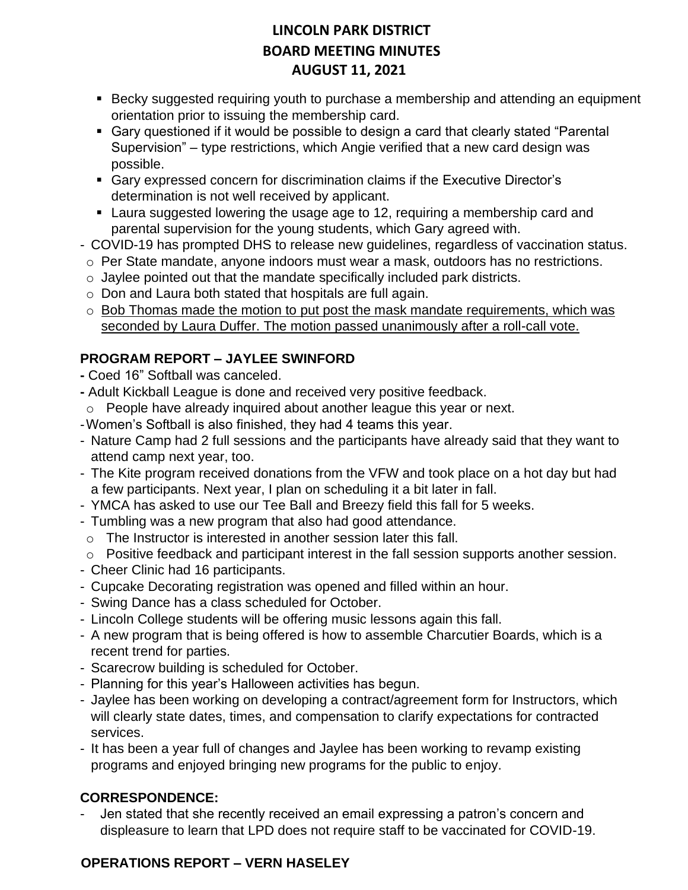- Becky suggested requiring youth to purchase a membership and attending an equipment orientation prior to issuing the membership card.
- Gary questioned if it would be possible to design a card that clearly stated "Parental Supervision" – type restrictions, which Angie verified that a new card design was possible.
- Gary expressed concern for discrimination claims if the Executive Director's determination is not well received by applicant.
- Laura suggested lowering the usage age to 12, requiring a membership card and parental supervision for the young students, which Gary agreed with.
- COVID-19 has prompted DHS to release new guidelines, regardless of vaccination status.
- o Per State mandate, anyone indoors must wear a mask, outdoors has no restrictions.
- o Jaylee pointed out that the mandate specifically included park districts.
- o Don and Laura both stated that hospitals are full again.
- $\circ$  Bob Thomas made the motion to put post the mask mandate requirements, which was seconded by Laura Duffer. The motion passed unanimously after a roll-call vote.

### **PROGRAM REPORT – JAYLEE SWINFORD**

- **-** Coed 16" Softball was canceled.
- **-** Adult Kickball League is done and received very positive feedback.
- o People have already inquired about another league this year or next.
- -Women's Softball is also finished, they had 4 teams this year.
- Nature Camp had 2 full sessions and the participants have already said that they want to attend camp next year, too.
- The Kite program received donations from the VFW and took place on a hot day but had a few participants. Next year, I plan on scheduling it a bit later in fall.
- YMCA has asked to use our Tee Ball and Breezy field this fall for 5 weeks.
- Tumbling was a new program that also had good attendance.
- o The Instructor is interested in another session later this fall.
- $\circ$  Positive feedback and participant interest in the fall session supports another session.
- Cheer Clinic had 16 participants.
- Cupcake Decorating registration was opened and filled within an hour.
- Swing Dance has a class scheduled for October.
- Lincoln College students will be offering music lessons again this fall.
- A new program that is being offered is how to assemble Charcutier Boards, which is a recent trend for parties.
- Scarecrow building is scheduled for October.
- Planning for this year's Halloween activities has begun.
- Jaylee has been working on developing a contract/agreement form for Instructors, which will clearly state dates, times, and compensation to clarify expectations for contracted services.
- It has been a year full of changes and Jaylee has been working to revamp existing programs and enjoyed bringing new programs for the public to enjoy.

#### **CORRESPONDENCE:**

Jen stated that she recently received an email expressing a patron's concern and displeasure to learn that LPD does not require staff to be vaccinated for COVID-19.

### **OPERATIONS REPORT – VERN HASELEY**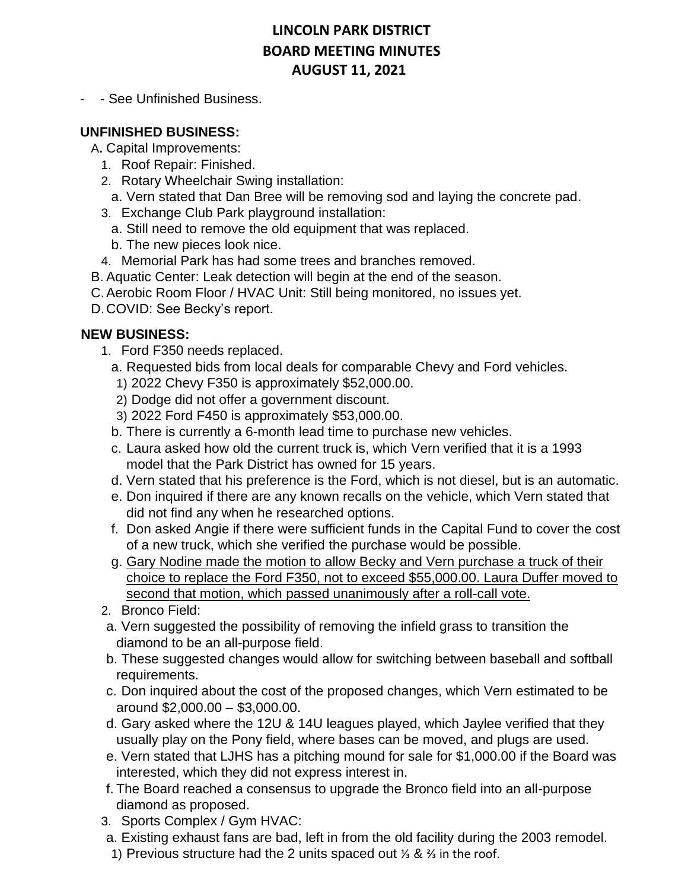- - See Unfinished Business.

#### **UNFINISHED BUSINESS:**

A**.** Capital Improvements:

- 1. Roof Repair: Finished.
- 2. Rotary Wheelchair Swing installation:
	- a. Vern stated that Dan Bree will be removing sod and laying the concrete pad.
- 3. Exchange Club Park playground installation:
	- a. Still need to remove the old equipment that was replaced.
	- b. The new pieces look nice.
- 4. Memorial Park has had some trees and branches removed.
- B. Aquatic Center: Leak detection will begin at the end of the season.
- C.Aerobic Room Floor / HVAC Unit: Still being monitored, no issues yet.
- D.COVID: See Becky's report.

#### **NEW BUSINESS:**

- 1. Ford F350 needs replaced.
	- a. Requested bids from local deals for comparable Chevy and Ford vehicles.
	- 1) 2022 Chevy F350 is approximately \$52,000.00.
	- 2) Dodge did not offer a government discount.
	- 3) 2022 Ford F450 is approximately \$53,000.00.
	- b. There is currently a 6-month lead time to purchase new vehicles.
	- c. Laura asked how old the current truck is, which Vern verified that it is a 1993 model that the Park District has owned for 15 years.
	- d. Vern stated that his preference is the Ford, which is not diesel, but is an automatic.
	- e. Don inquired if there are any known recalls on the vehicle, which Vern stated that did not find any when he researched options.
	- f. Don asked Angie if there were sufficient funds in the Capital Fund to cover the cost of a new truck, which she verified the purchase would be possible.
	- g. Gary Nodine made the motion to allow Becky and Vern purchase a truck of their choice to replace the Ford F350, not to exceed \$55,000.00. Laura Duffer moved to second that motion, which passed unanimously after a roll-call vote.
- 2. Bronco Field:
- a. Vern suggested the possibility of removing the infield grass to transition the diamond to be an all-purpose field.
- b. These suggested changes would allow for switching between baseball and softball requirements.
- c. Don inquired about the cost of the proposed changes, which Vern estimated to be around \$2,000.00 – \$3,000.00.
- d. Gary asked where the 12U & 14U leagues played, which Jaylee verified that they usually play on the Pony field, where bases can be moved, and plugs are used.
- e. Vern stated that LJHS has a pitching mound for sale for \$1,000.00 if the Board was interested, which they did not express interest in.
- f. The Board reached a consensus to upgrade the Bronco field into an all-purpose diamond as proposed.
- 3. Sports Complex / Gym HVAC:
- a. Existing exhaust fans are bad, left in from the old facility during the 2003 remodel.
- 1) Previous structure had the 2 units spaced out ⅓ & ⅔ in the roof.